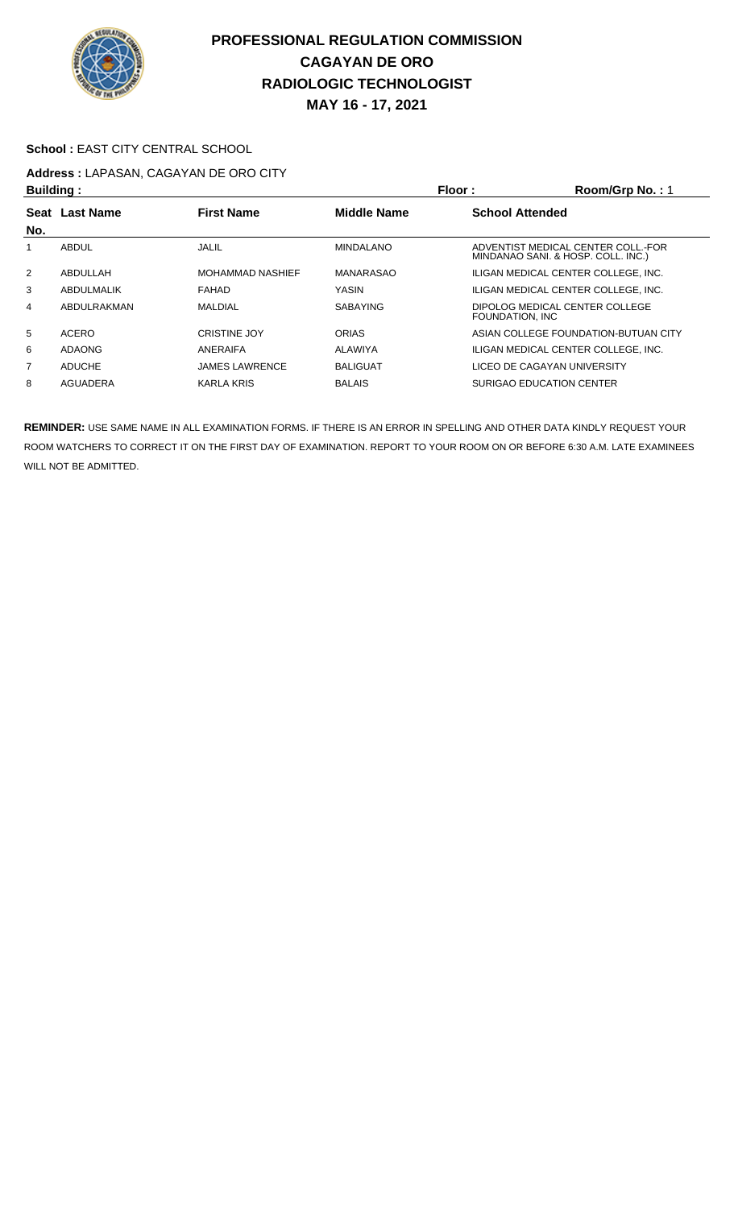

#### School : EAST CITY CENTRAL SCHOOL

# **Address :** LAPASAN, CAGAYAN DE ORO CITY

| <b>Building:</b> |                |                         | Floor:             | Room/Grp No.: 1                                                          |
|------------------|----------------|-------------------------|--------------------|--------------------------------------------------------------------------|
|                  | Seat Last Name | <b>First Name</b>       | <b>Middle Name</b> | <b>School Attended</b>                                                   |
| No.              |                |                         |                    |                                                                          |
|                  | ABDUL          | <b>JALIL</b>            | <b>MINDALANO</b>   | ADVENTIST MEDICAL CENTER COLL. FOR<br>MINDANAO SANI. & HOSP. COLL. INC.) |
| $\overline{2}$   | ABDULLAH       | <b>MOHAMMAD NASHIEF</b> | MANARASAO          | ILIGAN MEDICAL CENTER COLLEGE, INC.                                      |
| 3                | ABDULMALIK     | FAHAD                   | YASIN              | ILIGAN MEDICAL CENTER COLLEGE. INC.                                      |
| 4                | ABDULRAKMAN    | <b>MALDIAL</b>          | <b>SABAYING</b>    | DIPOLOG MEDICAL CENTER COLLEGE<br>FOUNDATION, INC.                       |
| 5                | ACERO          | <b>CRISTINE JOY</b>     | <b>ORIAS</b>       | ASIAN COLLEGE FOUNDATION-BUTUAN CITY                                     |
| 6                | ADAONG         | ANERAIFA                | ALAWIYA            | ILIGAN MEDICAL CENTER COLLEGE. INC.                                      |
| $\overline{7}$   | <b>ADUCHE</b>  | <b>JAMES LAWRENCE</b>   | <b>BALIGUAT</b>    | LICEO DE CAGAYAN UNIVERSITY                                              |
| 8                | AGUADERA       | <b>KARLA KRIS</b>       | <b>BALAIS</b>      | SURIGAO EDUCATION CENTER                                                 |
|                  |                |                         |                    |                                                                          |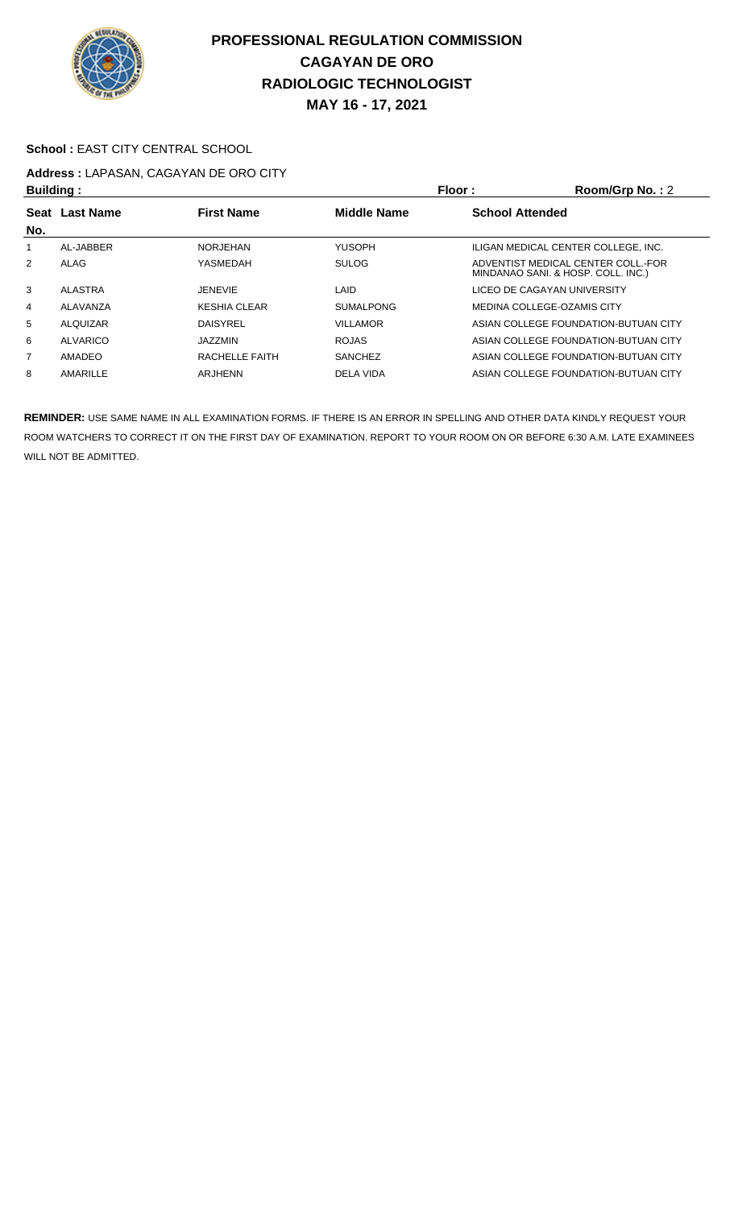

### School : EAST CITY CENTRAL SCHOOL

# **Address :** LAPASAN, CAGAYAN DE ORO CITY

| <b>Building:</b> |                 |                     |                    | Floor:<br>Room/Grp No.: 2                                                |  |
|------------------|-----------------|---------------------|--------------------|--------------------------------------------------------------------------|--|
| No.              | Seat Last Name  | <b>First Name</b>   | <b>Middle Name</b> | <b>School Attended</b>                                                   |  |
|                  | AL-JABBER       | <b>NORJEHAN</b>     | <b>YUSOPH</b>      | ILIGAN MEDICAL CENTER COLLEGE. INC.                                      |  |
| 2                | ALAG            | YASMEDAH            | <b>SULOG</b>       | ADVENTIST MEDICAL CENTER COLL. FOR<br>MINDANAO SANI. & HOSP. COLL. INC.) |  |
| 3                | ALASTRA         | <b>JENEVIE</b>      | LAID               | LICEO DE CAGAYAN UNIVERSITY                                              |  |
| 4                | ALAVANZA        | <b>KESHIA CLEAR</b> | <b>SUMALPONG</b>   | MEDINA COLLEGE-OZAMIS CITY                                               |  |
| 5                | ALQUIZAR        | <b>DAISYREL</b>     | <b>VILLAMOR</b>    | ASIAN COLLEGE FOUNDATION-BUTUAN CITY                                     |  |
| 6                | <b>ALVARICO</b> | JAZZMIN             | <b>ROJAS</b>       | ASIAN COLLEGE FOUNDATION-BUTUAN CITY                                     |  |
| $\overline{7}$   | AMADEO          | RACHELLE FAITH      | <b>SANCHEZ</b>     | ASIAN COLLEGE FOUNDATION-BUTUAN CITY                                     |  |
| 8                | AMARILLE        | ARJHENN             | DELA VIDA          | ASIAN COLLEGE FOUNDATION-BUTUAN CITY                                     |  |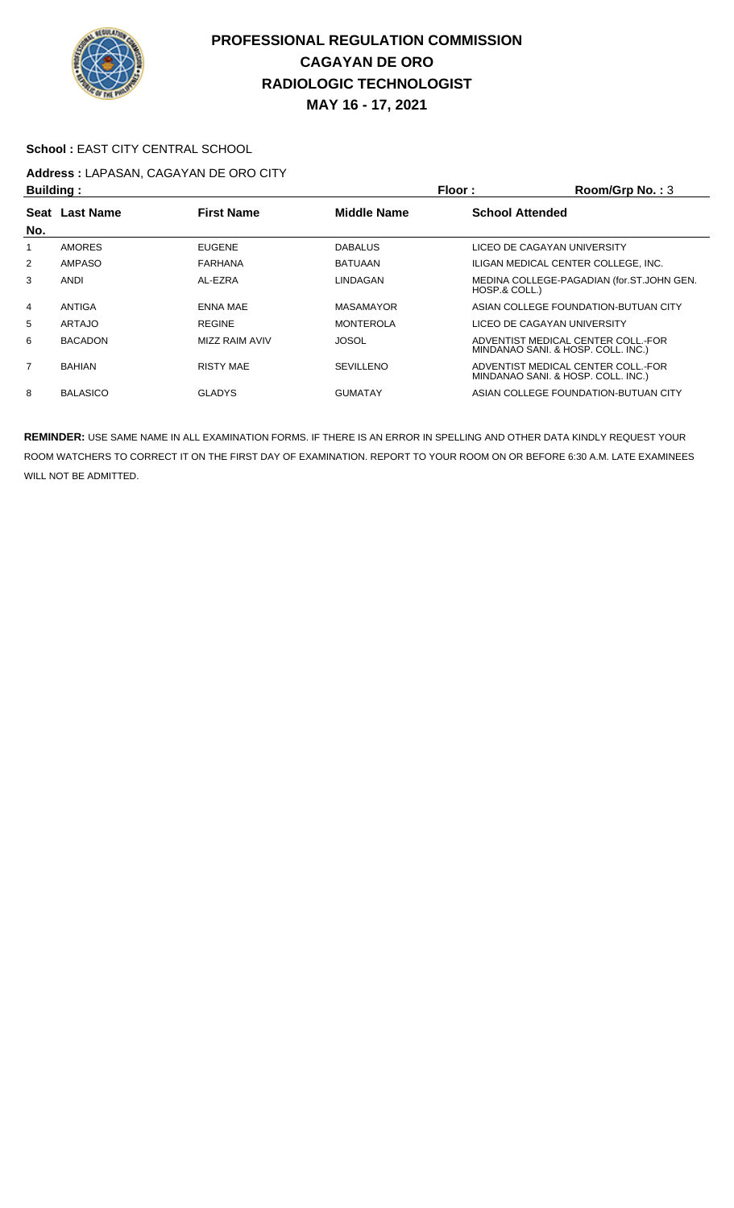

### School : EAST CITY CENTRAL SCHOOL

# **Address :** LAPASAN, CAGAYAN DE ORO CITY

| <b>Building:</b> |                 |                       |                    | Floor:                 | Room/Grp No.: 3                                                          |
|------------------|-----------------|-----------------------|--------------------|------------------------|--------------------------------------------------------------------------|
|                  | Seat Last Name  | <b>First Name</b>     | <b>Middle Name</b> | <b>School Attended</b> |                                                                          |
| No.              |                 |                       |                    |                        |                                                                          |
|                  | <b>AMORES</b>   | <b>EUGENE</b>         | <b>DABALUS</b>     |                        | LICEO DE CAGAYAN UNIVERSITY                                              |
| 2                | AMPASO          | <b>FARHANA</b>        | <b>BATUAAN</b>     |                        | ILIGAN MEDICAL CENTER COLLEGE. INC.                                      |
| 3                | <b>ANDI</b>     | AL-EZRA               | LINDAGAN           | HOSP.& COLL.)          | MEDINA COLLEGE-PAGADIAN (for.ST.JOHN GEN.                                |
| 4                | ANTIGA          | <b>ENNA MAE</b>       | <b>MASAMAYOR</b>   |                        | ASIAN COLLEGE FOUNDATION-BUTUAN CITY                                     |
| 5                | <b>ARTAJO</b>   | <b>REGINE</b>         | <b>MONTEROLA</b>   |                        | LICEO DE CAGAYAN UNIVERSITY                                              |
| 6                | <b>BACADON</b>  | <b>MIZZ RAIM AVIV</b> | <b>JOSOL</b>       |                        | ADVENTIST MEDICAL CENTER COLL.-FOR<br>MINDANAO SANI. & HOSP. COLL. INC.) |
| 7                | <b>BAHIAN</b>   | <b>RISTY MAE</b>      | <b>SEVILLENO</b>   |                        | ADVENTIST MEDICAL CENTER COLL.-FOR<br>MINDANAO SANI. & HOSP. COLL. INC.) |
| 8                | <b>BALASICO</b> | <b>GLADYS</b>         | <b>GUMATAY</b>     |                        | ASIAN COLLEGE FOUNDATION-BUTUAN CITY                                     |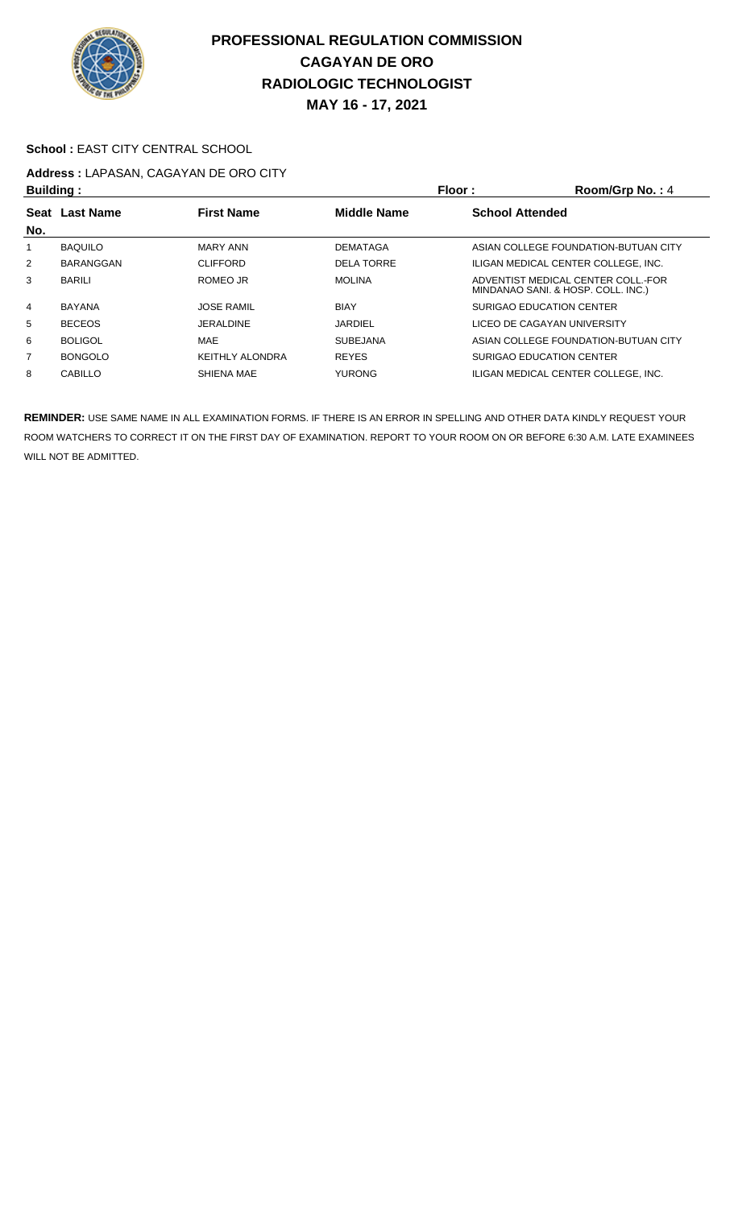

#### School : EAST CITY CENTRAL SCHOOL

# **Address :** LAPASAN, CAGAYAN DE ORO CITY

| <b>Building:</b> |                |                        | Floor:             | Room/Grp No.: 4                                                          |
|------------------|----------------|------------------------|--------------------|--------------------------------------------------------------------------|
| No.              | Seat Last Name | <b>First Name</b>      | <b>Middle Name</b> | <b>School Attended</b>                                                   |
|                  | <b>BAQUILO</b> | MARY ANN               | <b>DEMATAGA</b>    | ASIAN COLLEGE FOUNDATION-BUTUAN CITY                                     |
| $\overline{2}$   | BARANGGAN      | <b>CLIFFORD</b>        | <b>DELA TORRE</b>  | ILIGAN MEDICAL CENTER COLLEGE, INC.                                      |
| 3                | <b>BARILI</b>  | ROMEO JR               | <b>MOLINA</b>      | ADVENTIST MEDICAL CENTER COLL. FOR<br>MINDANAO SANI. & HOSP. COLL. INC.) |
| 4                | <b>BAYANA</b>  | <b>JOSE RAMIL</b>      | <b>BIAY</b>        | SURIGAO EDUCATION CENTER                                                 |
| 5                | <b>BECEOS</b>  | JERALDINE              | <b>JARDIEL</b>     | LICEO DE CAGAYAN UNIVERSITY                                              |
| 6                | <b>BOLIGOL</b> | MAE                    | <b>SUBEJANA</b>    | ASIAN COLLEGE FOUNDATION-BUTUAN CITY                                     |
| $\overline{7}$   | <b>BONGOLO</b> | <b>KEITHLY ALONDRA</b> | <b>REYES</b>       | SURIGAO EDUCATION CENTER                                                 |
| 8                | <b>CABILLO</b> | SHIENA MAE             | <b>YURONG</b>      | ILIGAN MEDICAL CENTER COLLEGE. INC.                                      |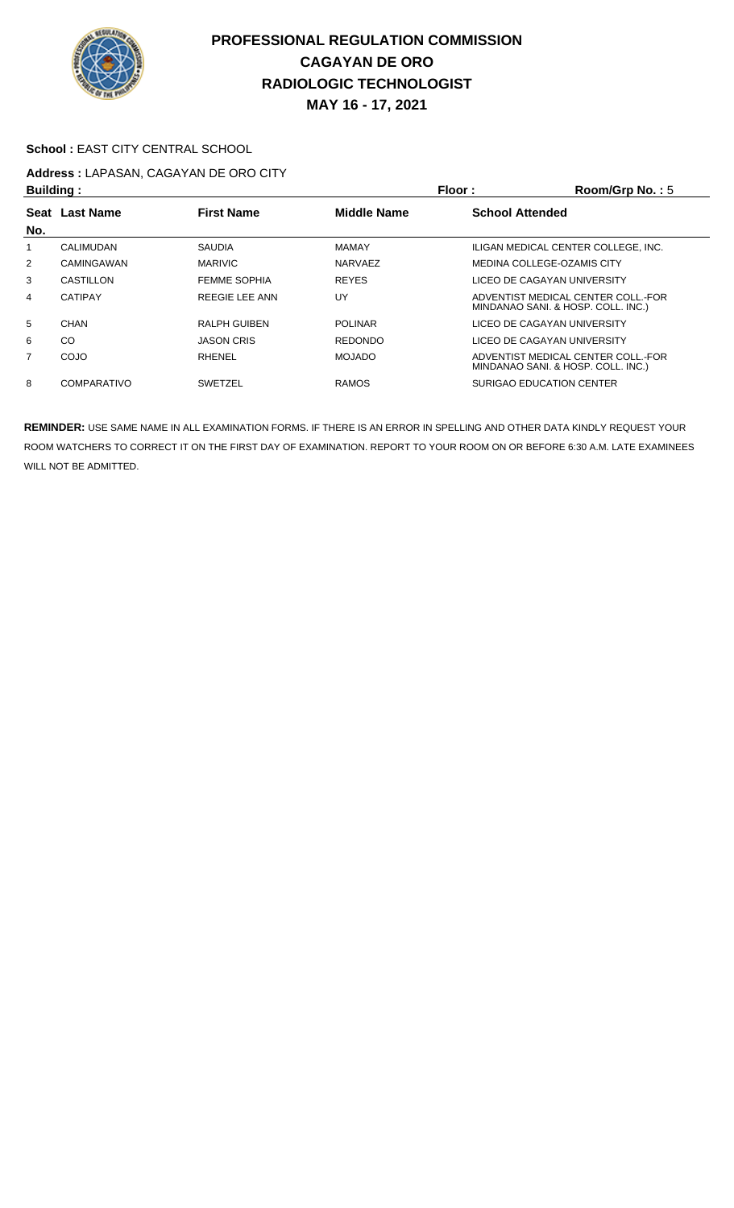

#### School : EAST CITY CENTRAL SCHOOL

# **Address :** LAPASAN, CAGAYAN DE ORO CITY

| <b>Building:</b> |                    |                     | Floor :            | Room/Grp No.: $5$                                                        |
|------------------|--------------------|---------------------|--------------------|--------------------------------------------------------------------------|
|                  | Seat Last Name     | <b>First Name</b>   | <b>Middle Name</b> | <b>School Attended</b>                                                   |
| No.              |                    |                     |                    |                                                                          |
| 1                | CALIMUDAN          | <b>SAUDIA</b>       | <b>MAMAY</b>       | ILIGAN MEDICAL CENTER COLLEGE, INC.                                      |
| $\overline{2}$   | CAMINGAWAN         | <b>MARIVIC</b>      | <b>NARVAEZ</b>     | MEDINA COLLEGE-OZAMIS CITY                                               |
| 3                | CASTILLON          | <b>FEMME SOPHIA</b> | <b>REYES</b>       | LICEO DE CAGAYAN UNIVERSITY                                              |
| 4                | <b>CATIPAY</b>     | REEGIE LEE ANN      | UY                 | ADVENTIST MEDICAL CENTER COLL.-FOR<br>MINDANAO SANI. & HOSP. COLL. INC.) |
| 5                | CHAN               | <b>RALPH GUIBEN</b> | <b>POLINAR</b>     | LICEO DE CAGAYAN UNIVERSITY                                              |
| 6                | <sub>CO</sub>      | <b>JASON CRIS</b>   | <b>REDONDO</b>     | LICEO DE CAGAYAN UNIVERSITY                                              |
| $\overline{7}$   | COJO               | RHENEL              | <b>MOJADO</b>      | ADVENTIST MEDICAL CENTER COLL. FOR<br>MINDANAO SANI. & HOSP. COLL. INC.) |
| 8                | <b>COMPARATIVO</b> | <b>SWETZEL</b>      | <b>RAMOS</b>       | <b>SURIGAO EDUCATION CENTER</b>                                          |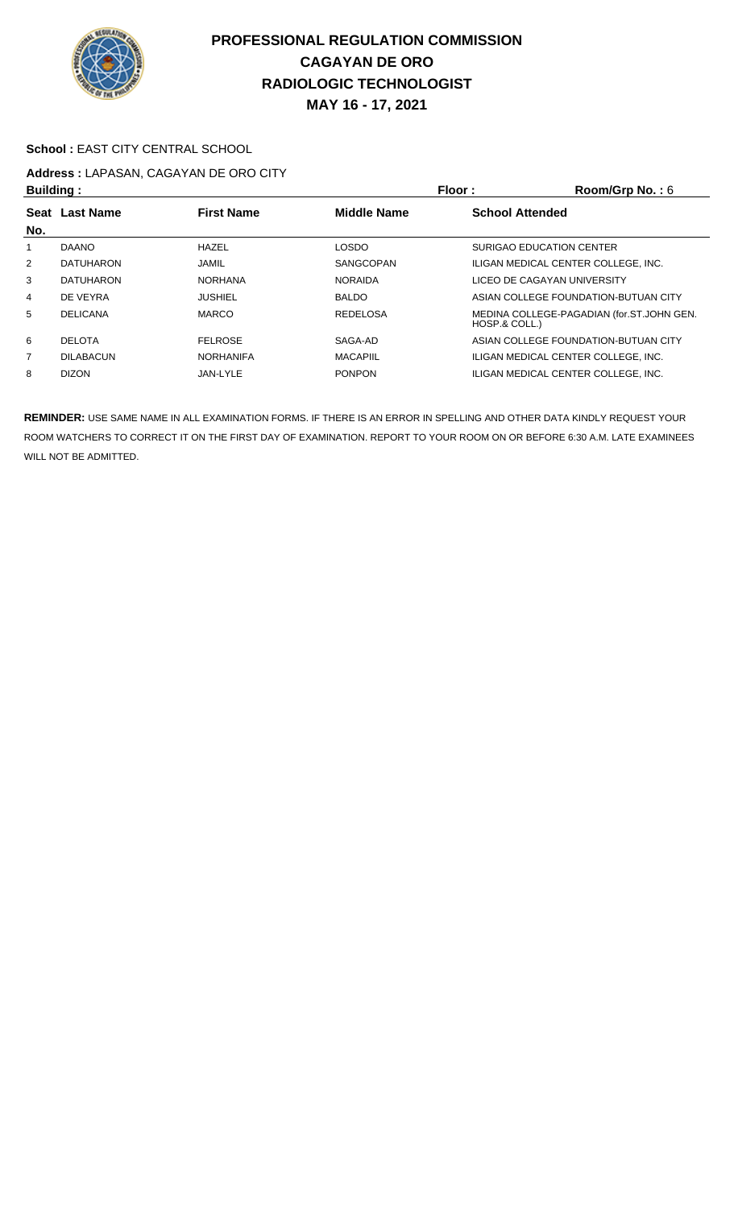

#### School : EAST CITY CENTRAL SCHOOL

# **Address :** LAPASAN, CAGAYAN DE ORO CITY

| <b>Building:</b> |                  |                   |                    | Floor :<br>Room/Grp No.: 6                                 |
|------------------|------------------|-------------------|--------------------|------------------------------------------------------------|
| No.              | Seat Last Name   | <b>First Name</b> | <b>Middle Name</b> | <b>School Attended</b>                                     |
|                  | <b>DAANO</b>     | <b>HAZEL</b>      | <b>LOSDO</b>       | SURIGAO EDUCATION CENTER                                   |
| 2                | <b>DATUHARON</b> | JAMIL             | SANGCOPAN          | ILIGAN MEDICAL CENTER COLLEGE, INC.                        |
| 3                | <b>DATUHARON</b> | <b>NORHANA</b>    | <b>NORAIDA</b>     | LICEO DE CAGAYAN UNIVERSITY                                |
| 4                | DE VEYRA         | <b>JUSHIEL</b>    | <b>BALDO</b>       | ASIAN COLLEGE FOUNDATION-BUTUAN CITY                       |
| 5                | <b>DELICANA</b>  | <b>MARCO</b>      | <b>REDELOSA</b>    | MEDINA COLLEGE-PAGADIAN (for.ST.JOHN GEN.<br>HOSP.& COLL.) |
| 6                | <b>DELOTA</b>    | <b>FELROSE</b>    | SAGA-AD            | ASIAN COLLEGE FOUNDATION-BUTUAN CITY                       |
| $\overline{7}$   | <b>DILABACUN</b> | <b>NORHANIFA</b>  | <b>MACAPIIL</b>    | ILIGAN MEDICAL CENTER COLLEGE, INC.                        |
| 8                | <b>DIZON</b>     | JAN-LYLE          | <b>PONPON</b>      | ILIGAN MEDICAL CENTER COLLEGE. INC.                        |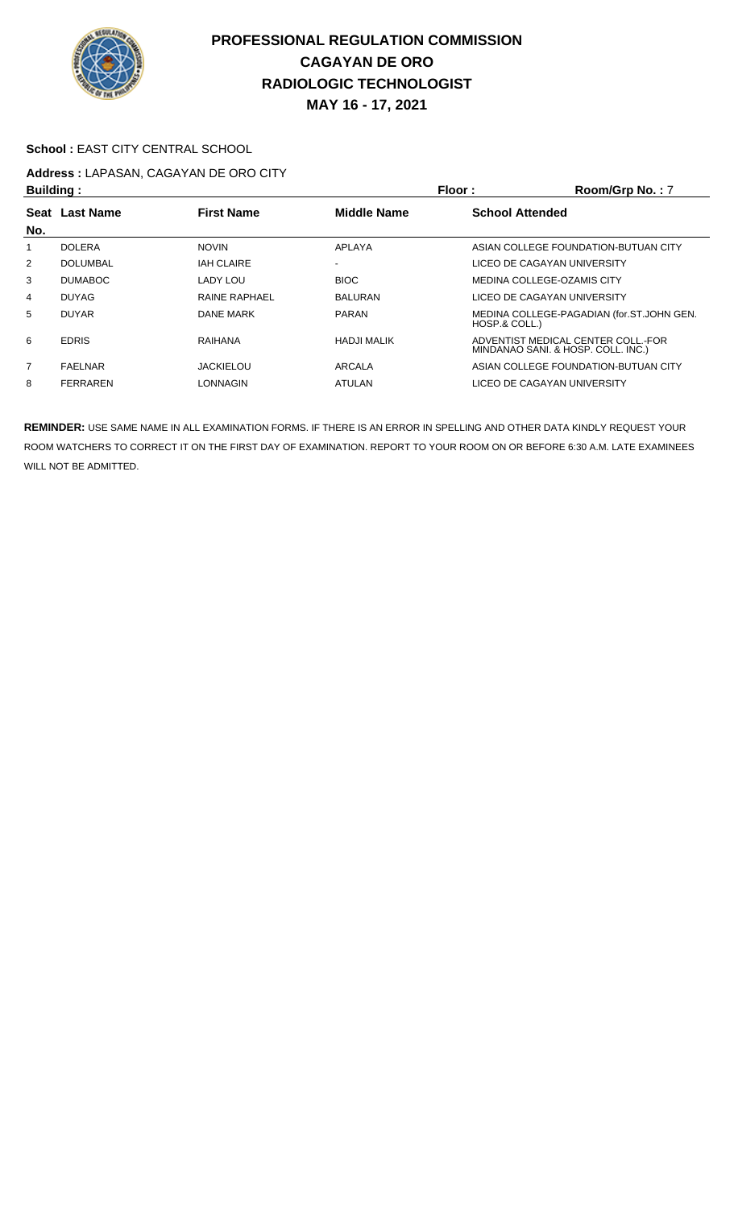

### School : EAST CITY CENTRAL SCHOOL

# **Address :** LAPASAN, CAGAYAN DE ORO CITY

| <b>Building:</b> |                 |                      |                    | Floor:<br>Room/Grp No.: 7                                                |  |
|------------------|-----------------|----------------------|--------------------|--------------------------------------------------------------------------|--|
|                  | Seat Last Name  | <b>First Name</b>    | <b>Middle Name</b> | <b>School Attended</b>                                                   |  |
| No.              |                 |                      |                    |                                                                          |  |
|                  | <b>DOLERA</b>   | <b>NOVIN</b>         | APLAYA             | ASIAN COLLEGE FOUNDATION-BUTUAN CITY                                     |  |
| $\overline{2}$   | <b>DOLUMBAL</b> | <b>IAH CLAIRE</b>    | $\,$               | LICEO DE CAGAYAN UNIVERSITY                                              |  |
| 3                | <b>DUMABOC</b>  | LADY LOU             | <b>BIOC</b>        | MEDINA COLLEGE-OZAMIS CITY                                               |  |
| 4                | <b>DUYAG</b>    | <b>RAINE RAPHAEL</b> | <b>BALURAN</b>     | LICEO DE CAGAYAN UNIVERSITY                                              |  |
| 5                | <b>DUYAR</b>    | DANE MARK            | <b>PARAN</b>       | MEDINA COLLEGE-PAGADIAN (for.ST.JOHN GEN.<br>HOSP.& COLL.)               |  |
| 6                | <b>EDRIS</b>    | RAIHANA              | <b>HADJI MALIK</b> | ADVENTIST MEDICAL CENTER COLL.-FOR<br>MINDANAO SANI. & HOSP. COLL. INC.) |  |
| $\overline{7}$   | <b>FAELNAR</b>  | <b>JACKIELOU</b>     | ARCALA             | ASIAN COLLEGE FOUNDATION-BUTUAN CITY                                     |  |
| 8                | <b>FERRAREN</b> | LONNAGIN             | ATULAN             | LICEO DE CAGAYAN UNIVERSITY                                              |  |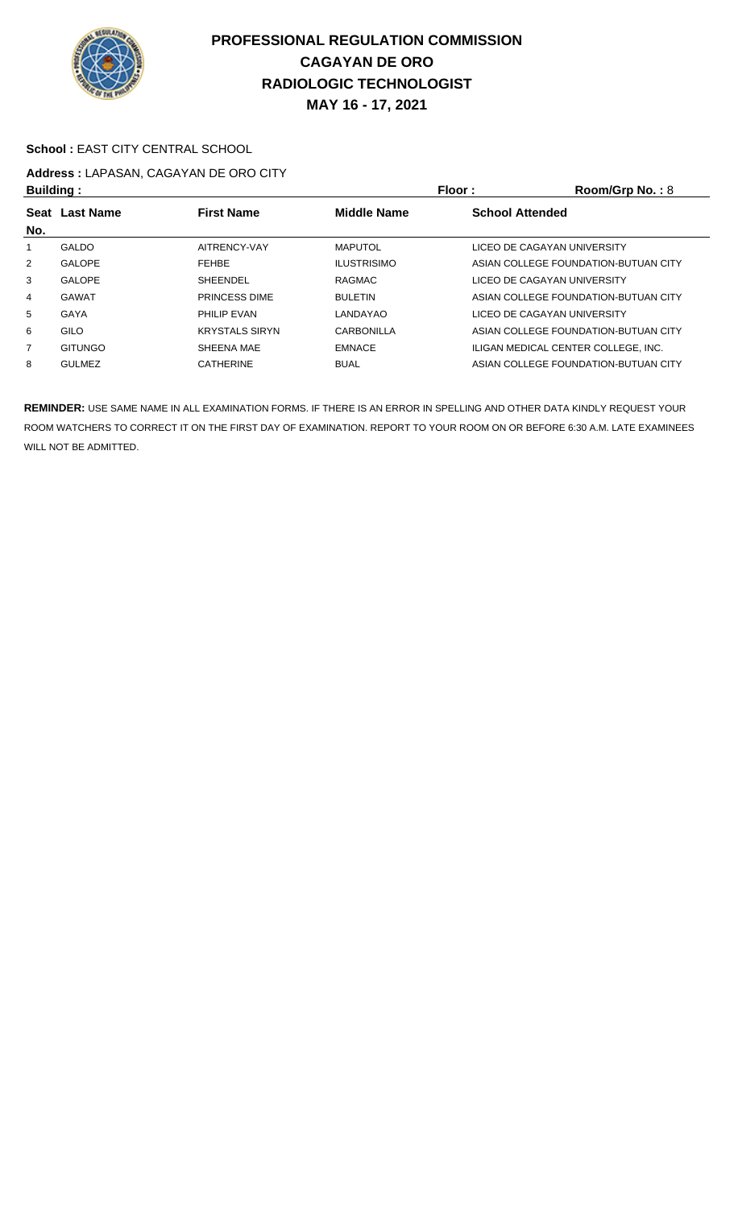

#### School : EAST CITY CENTRAL SCHOOL

# **Address :** LAPASAN, CAGAYAN DE ORO CITY

| <b>Building:</b> |                  |                       | <b>Floor:</b>      | Room/Grp No.: $8$                    |
|------------------|------------------|-----------------------|--------------------|--------------------------------------|
| <b>Seat</b>      | <b>Last Name</b> | <b>First Name</b>     | <b>Middle Name</b> | <b>School Attended</b>               |
| No.              |                  |                       |                    |                                      |
|                  | <b>GALDO</b>     | AITRENCY-VAY          | <b>MAPUTOL</b>     | LICEO DE CAGAYAN UNIVERSITY          |
| $\overline{2}$   | <b>GALOPE</b>    | <b>FEHBE</b>          | <b>ILUSTRISIMO</b> | ASIAN COLLEGE FOUNDATION-BUTUAN CITY |
| 3                | <b>GALOPE</b>    | SHEENDEL              | RAGMAC             | LICEO DE CAGAYAN UNIVERSITY          |
| 4                | <b>GAWAT</b>     | <b>PRINCESS DIME</b>  | <b>BULETIN</b>     | ASIAN COLLEGE FOUNDATION-BUTUAN CITY |
| 5                | GAYA             | <b>PHILIP EVAN</b>    | LANDAYAO           | LICEO DE CAGAYAN UNIVERSITY          |
| 6                | GILO             | <b>KRYSTALS SIRYN</b> | CARBONILLA         | ASIAN COLLEGE FOUNDATION-BUTUAN CITY |
| $\overline{7}$   | <b>GITUNGO</b>   | SHEENA MAE            | <b>EMNACE</b>      | ILIGAN MEDICAL CENTER COLLEGE. INC.  |
| 8                | <b>GULMEZ</b>    | <b>CATHERINE</b>      | <b>BUAL</b>        | ASIAN COLLEGE FOUNDATION-BUTUAN CITY |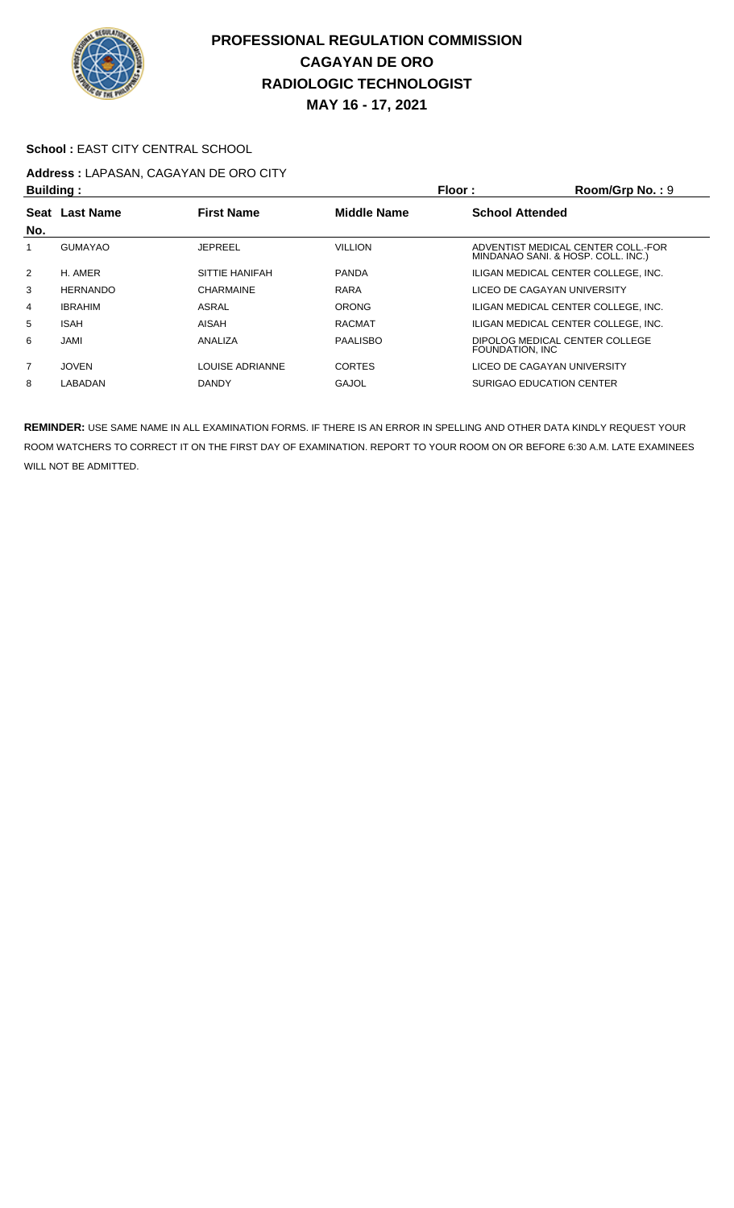

#### School : EAST CITY CENTRAL SCHOOL

# **Address :** LAPASAN, CAGAYAN DE ORO CITY

|                 |                             |                    | Room/Grp No.: 9                                                          |        |
|-----------------|-----------------------------|--------------------|--------------------------------------------------------------------------|--------|
|                 | <b>First Name</b>           | <b>Middle Name</b> | <b>School Attended</b>                                                   |        |
| <b>GUMAYAO</b>  | <b>JEPREEL</b>              | <b>VILLION</b>     | ADVENTIST MEDICAL CENTER COLL.-FOR<br>MINDANAO SANI. & HOSP. COLL. INC.) |        |
| H. AMER         | SITTIE HANIFAH              | <b>PANDA</b>       | ILIGAN MEDICAL CENTER COLLEGE. INC.                                      |        |
| <b>HERNANDO</b> | <b>CHARMAINE</b>            | RARA               | LICEO DE CAGAYAN UNIVERSITY                                              |        |
| <b>IBRAHIM</b>  | ASRAL                       | <b>ORONG</b>       | ILIGAN MEDICAL CENTER COLLEGE, INC.                                      |        |
| <b>ISAH</b>     | AISAH                       | <b>RACMAT</b>      | ILIGAN MEDICAL CENTER COLLEGE. INC.                                      |        |
| JAMI            | ANALIZA                     | <b>PAALISBO</b>    | DIPOLOG MEDICAL CENTER COLLEGE<br>FOUNDATION. INC                        |        |
| <b>JOVEN</b>    | LOUISE ADRIANNE             | <b>CORTES</b>      | LICEO DE CAGAYAN UNIVERSITY                                              |        |
| LABADAN         | <b>DANDY</b>                | <b>GAJOL</b>       | SURIGAO EDUCATION CENTER                                                 |        |
|                 | Building:<br>Seat Last Name |                    |                                                                          | Floor: |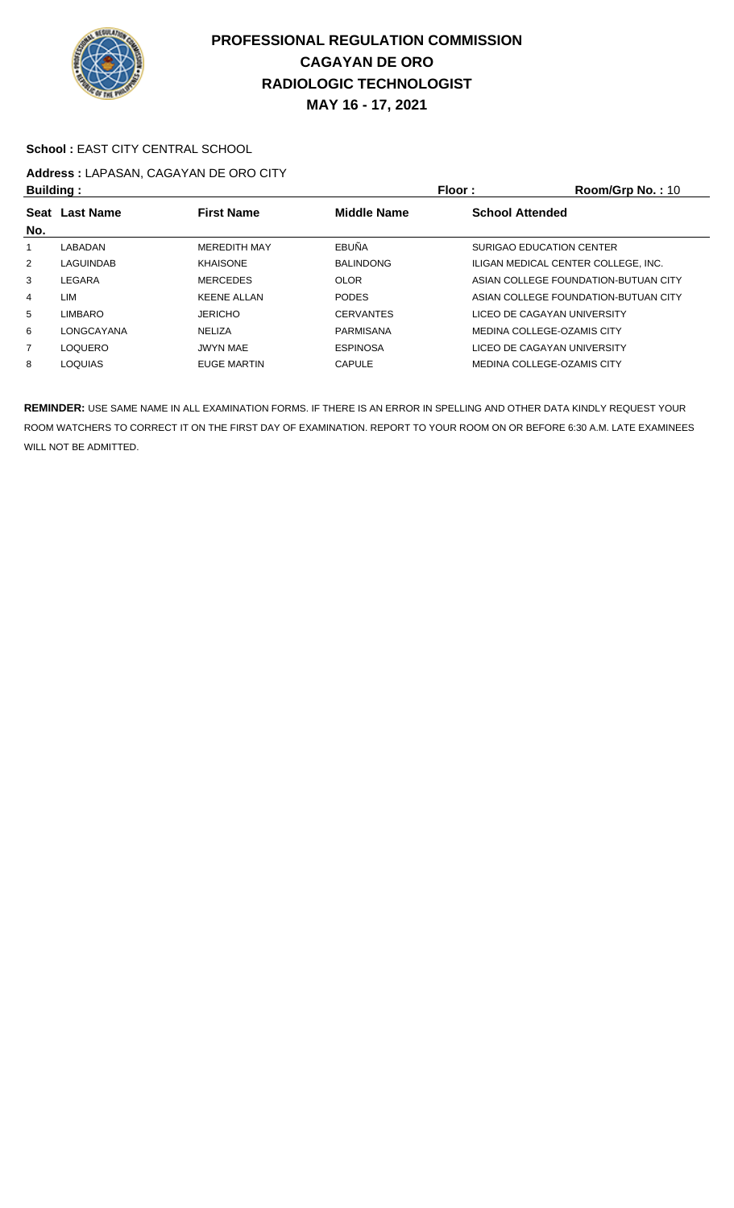

#### School : EAST CITY CENTRAL SCHOOL

# **Address :** LAPASAN, CAGAYAN DE ORO CITY

| <b>Building:</b> |                |                     |                    | <b>Floor:</b>          | Room/Grp No.: 10                     |  |
|------------------|----------------|---------------------|--------------------|------------------------|--------------------------------------|--|
| No.              | Seat Last Name | <b>First Name</b>   | <b>Middle Name</b> | <b>School Attended</b> |                                      |  |
|                  | LABADAN        | <b>MEREDITH MAY</b> | EBUÑA              |                        | SURIGAO EDUCATION CENTER             |  |
| 2                | LAGUINDAB      | <b>KHAISONE</b>     | <b>BALINDONG</b>   |                        | ILIGAN MEDICAL CENTER COLLEGE. INC.  |  |
| 3                | LEGARA         | <b>MERCEDES</b>     | <b>OLOR</b>        |                        | ASIAN COLLEGE FOUNDATION-BUTUAN CITY |  |
| 4                | LIM            | <b>KEENE ALLAN</b>  | <b>PODES</b>       |                        | ASIAN COLLEGE FOUNDATION-BUTUAN CITY |  |
| 5                | <b>LIMBARO</b> | <b>JERICHO</b>      | <b>CERVANTES</b>   |                        | LICEO DE CAGAYAN UNIVERSITY          |  |
| 6                | LONGCAYANA     | <b>NELIZA</b>       | PARMISANA          |                        | MEDINA COLLEGE-OZAMIS CITY           |  |
| 7                | <b>LOQUERO</b> | <b>JWYN MAE</b>     | <b>ESPINOSA</b>    |                        | LICEO DE CAGAYAN UNIVERSITY          |  |
| 8                | <b>LOQUIAS</b> | <b>EUGE MARTIN</b>  | <b>CAPULE</b>      |                        | MEDINA COLLEGE-OZAMIS CITY           |  |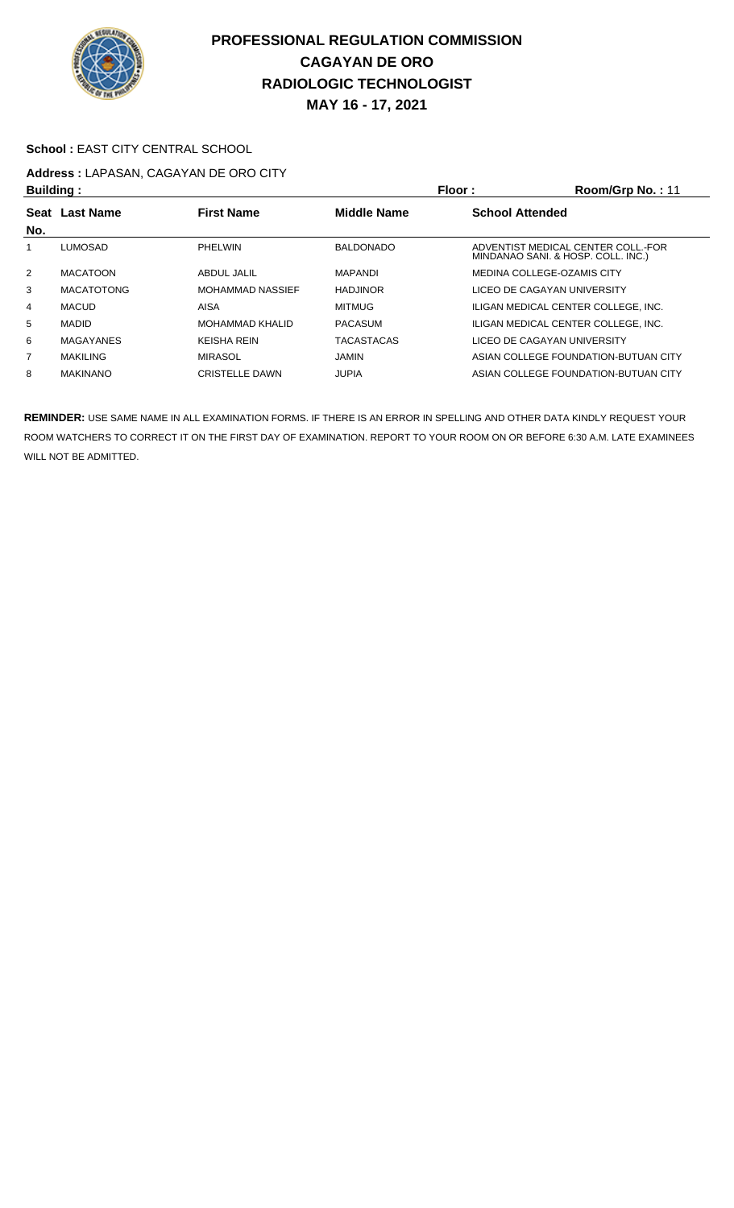

#### School : EAST CITY CENTRAL SCHOOL

# **Address :** LAPASAN, CAGAYAN DE ORO CITY

|                | <b>Building:</b>  |                        | Floor:             | Room/Grp No.: 11                                                         |
|----------------|-------------------|------------------------|--------------------|--------------------------------------------------------------------------|
| Seat<br>No.    | <b>Last Name</b>  | <b>First Name</b>      | <b>Middle Name</b> | <b>School Attended</b>                                                   |
|                | <b>LUMOSAD</b>    | PHELWIN                | <b>BALDONADO</b>   | ADVENTIST MEDICAL CENTER COLL. FOR<br>MINDANAO SANI. & HOSP. COLL. INC.) |
| $\overline{2}$ | <b>MACATOON</b>   | ABDUL JALIL            | MAPANDI            | MEDINA COLLEGE-OZAMIS CITY                                               |
| 3              | <b>MACATOTONG</b> | MOHAMMAD NASSIEF       | <b>HADJINOR</b>    | LICEO DE CAGAYAN UNIVERSITY                                              |
| 4              | <b>MACUD</b>      | AISA                   | <b>MITMUG</b>      | ILIGAN MEDICAL CENTER COLLEGE. INC.                                      |
| 5              | <b>MADID</b>      | <b>MOHAMMAD KHALID</b> | <b>PACASUM</b>     | ILIGAN MEDICAL CENTER COLLEGE. INC.                                      |
| 6              | MAGAYANES         | <b>KEISHA REIN</b>     | <b>TACASTACAS</b>  | LICEO DE CAGAYAN UNIVERSITY                                              |
| 7              | <b>MAKILING</b>   | <b>MIRASOL</b>         | JAMIN              | ASIAN COLLEGE FOUNDATION-BUTUAN CITY                                     |
| 8              | <b>MAKINANO</b>   | <b>CRISTELLE DAWN</b>  | <b>JUPIA</b>       | ASIAN COLLEGE FOUNDATION-BUTUAN CITY                                     |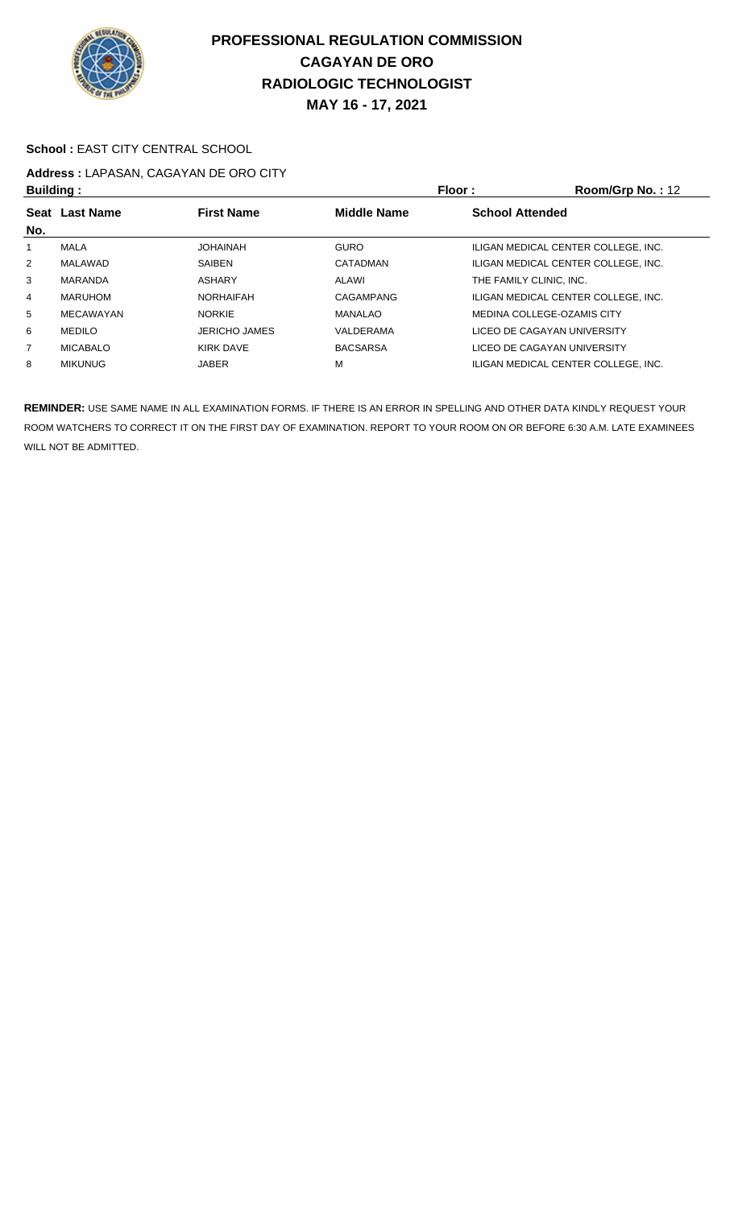

#### School : EAST CITY CENTRAL SCHOOL

# **Address :** LAPASAN, CAGAYAN DE ORO CITY

| <b>Building:</b> |                  |                      |                                              | <b>Floor:</b>                       | Room/Grp No.: 12 |
|------------------|------------------|----------------------|----------------------------------------------|-------------------------------------|------------------|
|                  | Seat Last Name   | <b>First Name</b>    | <b>Middle Name</b><br><b>School Attended</b> |                                     |                  |
| No.              |                  |                      |                                              |                                     |                  |
|                  | MALA             | <b>JOHAINAH</b>      | <b>GURO</b>                                  | ILIGAN MEDICAL CENTER COLLEGE, INC. |                  |
| $\overline{2}$   | MALAWAD          | SAIBEN               | CATADMAN                                     | ILIGAN MEDICAL CENTER COLLEGE. INC. |                  |
| 3                | MARANDA          | ASHARY               | ALAWI                                        | THE FAMILY CLINIC. INC.             |                  |
| 4                | MARUHOM          | <b>NORHAIFAH</b>     | CAGAMPANG                                    | ILIGAN MEDICAL CENTER COLLEGE, INC. |                  |
| 5                | <b>MECAWAYAN</b> | <b>NORKIE</b>        | <b>MANALAO</b>                               | MEDINA COLLEGE-OZAMIS CITY          |                  |
| 6                | MEDILO           | <b>JERICHO JAMES</b> | VALDERAMA                                    | LICEO DE CAGAYAN UNIVERSITY         |                  |
| $\overline{7}$   | <b>MICABALO</b>  | KIRK DAVE            | <b>BACSARSA</b>                              | LICEO DE CAGAYAN UNIVERSITY         |                  |
| 8                | <b>MIKUNUG</b>   | <b>JABER</b>         | М                                            | ILIGAN MEDICAL CENTER COLLEGE. INC. |                  |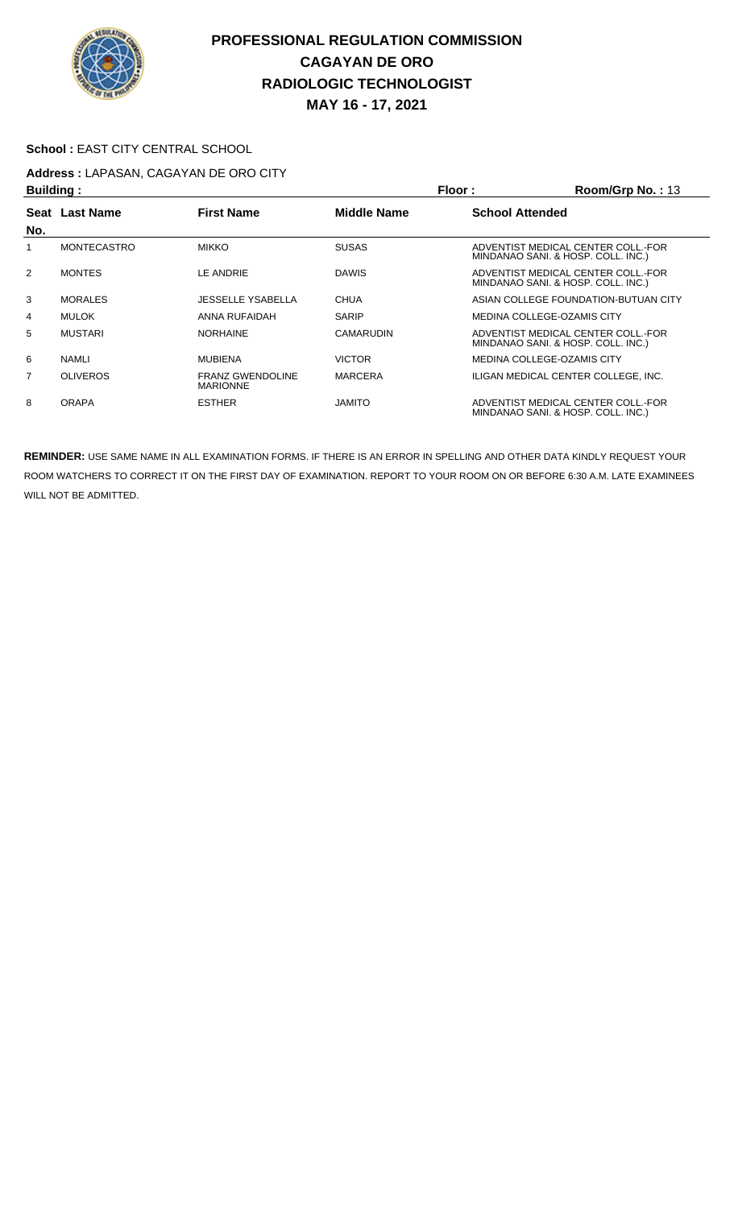

#### School : EAST CITY CENTRAL SCHOOL

# **Address :** LAPASAN, CAGAYAN DE ORO CITY

| <b>Building:</b> |                    |                                            | Floor:             | Room/Grp No.: 13       |                                                                          |
|------------------|--------------------|--------------------------------------------|--------------------|------------------------|--------------------------------------------------------------------------|
|                  | Seat Last Name     | <b>First Name</b>                          | <b>Middle Name</b> | <b>School Attended</b> |                                                                          |
| No.              |                    |                                            |                    |                        |                                                                          |
|                  | <b>MONTECASTRO</b> | <b>MIKKO</b>                               | <b>SUSAS</b>       |                        | ADVENTIST MEDICAL CENTER COLL.-FOR<br>MINDANAO SANI. & HOSP. COLL. INC.) |
| 2                | <b>MONTES</b>      | LE ANDRIE                                  | <b>DAWIS</b>       |                        | ADVENTIST MEDICAL CENTER COLL.-FOR<br>MINDANAO SANI. & HOSP. COLL. INC.) |
| 3                | <b>MORALES</b>     | <b>JESSELLE YSABELLA</b>                   | <b>CHUA</b>        |                        | ASIAN COLLEGE FOUNDATION-BUTUAN CITY                                     |
| 4                | <b>MULOK</b>       | ANNA RUFAIDAH                              | <b>SARIP</b>       |                        | MEDINA COLLEGE-OZAMIS CITY                                               |
| 5                | <b>MUSTARI</b>     | <b>NORHAINE</b>                            | <b>CAMARUDIN</b>   |                        | ADVENTIST MEDICAL CENTER COLL.-FOR<br>MINDANAO SANI. & HOSP. COLL. INC.) |
| 6                | <b>NAMLI</b>       | <b>MUBIENA</b>                             | <b>VICTOR</b>      |                        | MEDINA COLLEGE-OZAMIS CITY                                               |
| 7                | <b>OLIVEROS</b>    | <b>FRANZ GWENDOLINE</b><br><b>MARIONNE</b> | <b>MARCERA</b>     |                        | ILIGAN MEDICAL CENTER COLLEGE. INC.                                      |
| 8                | <b>ORAPA</b>       | <b>ESTHER</b>                              | <b>JAMITO</b>      |                        | ADVENTIST MEDICAL CENTER COLL.-FOR<br>MINDANAO SANI. & HOSP. COLL. INC.) |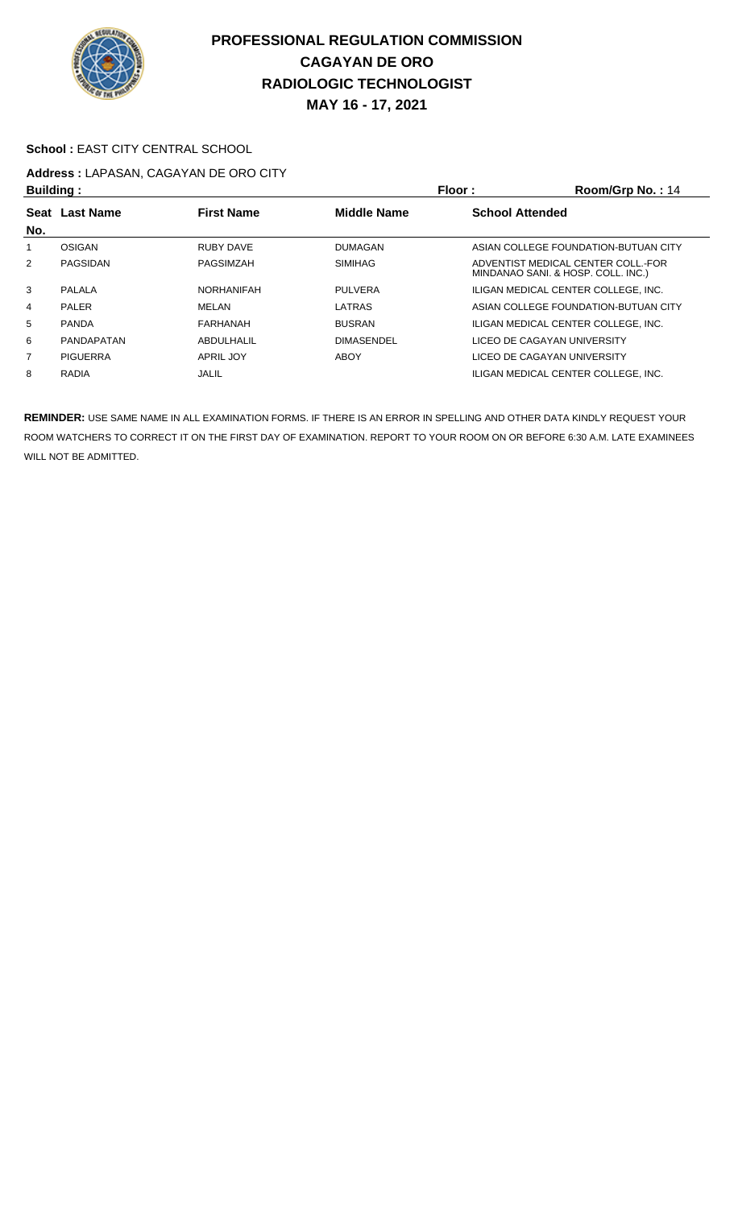

### **MAY 16 - 17, 2021**

#### School : EAST CITY CENTRAL SCHOOL

# **Address :** LAPASAN, CAGAYAN DE ORO CITY

| <b>Building:</b> |                   |                   |                    | Floor:<br>Room/Grp No.: 14                                               |
|------------------|-------------------|-------------------|--------------------|--------------------------------------------------------------------------|
| No.              | Seat Last Name    | <b>First Name</b> | <b>Middle Name</b> | <b>School Attended</b>                                                   |
|                  | OSIGAN            | RUBY DAVE         | DUMAGAN            | ASIAN COLLEGE FOUNDATION-BUTUAN CITY                                     |
| $\overline{2}$   | PAGSIDAN          | PAGSIMZAH         | <b>SIMIHAG</b>     | ADVENTIST MEDICAL CENTER COLL.-FOR<br>MINDANAO SANI. & HOSP. COLL. INC.) |
| 3                | PALALA            | <b>NORHANIFAH</b> | <b>PULVERA</b>     | ILIGAN MEDICAL CENTER COLLEGE. INC.                                      |
| 4                | PALER             | MELAN             | LATRAS             | ASIAN COLLEGE FOUNDATION-BUTUAN CITY                                     |
| 5                | <b>PANDA</b>      | FARHANAH          | <b>BUSRAN</b>      | ILIGAN MEDICAL CENTER COLLEGE. INC.                                      |
| 6                | <b>PANDAPATAN</b> | ABDULHALIL        | <b>DIMASENDEL</b>  | LICEO DE CAGAYAN UNIVERSITY                                              |
| $\overline{7}$   | <b>PIGUERRA</b>   | APRIL JOY         | ABOY               | LICEO DE CAGAYAN UNIVERSITY                                              |
| 8                | <b>RADIA</b>      | JALIL             |                    | ILIGAN MEDICAL CENTER COLLEGE. INC.                                      |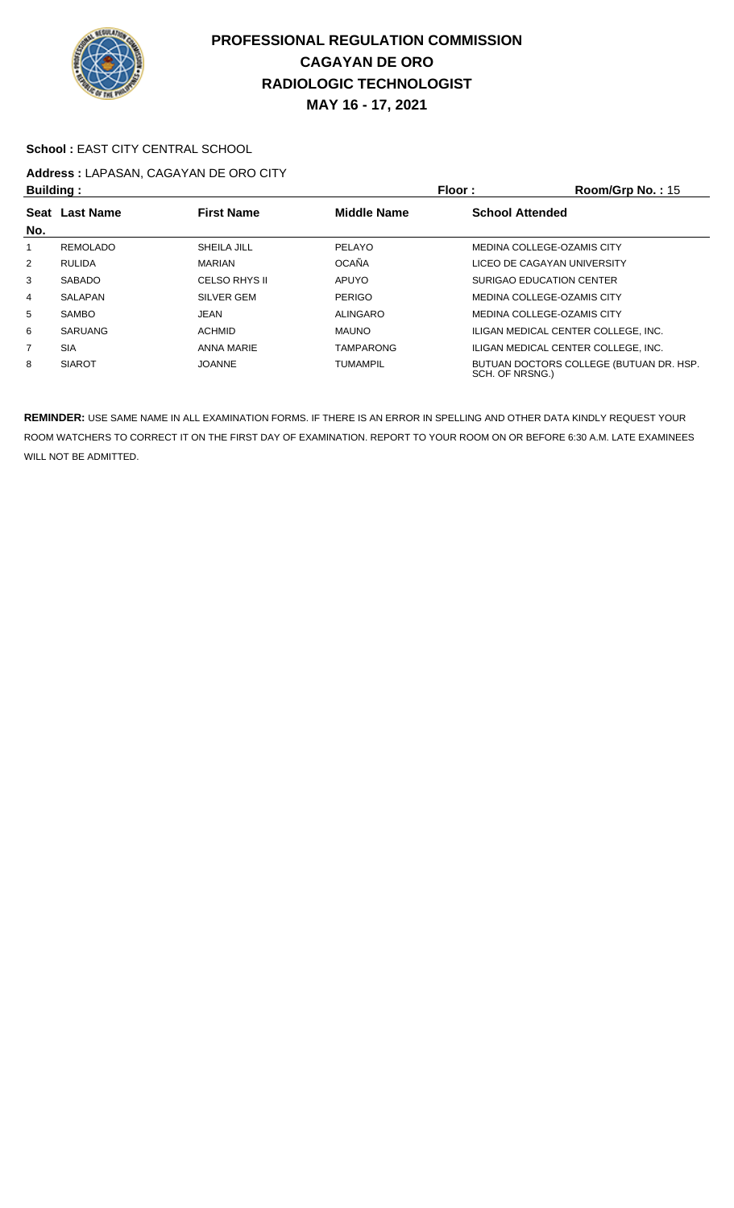

### School : EAST CITY CENTRAL SCHOOL

# **Address :** LAPASAN, CAGAYAN DE ORO CITY

| <b>Building:</b> |                 |                   |                    | Floor:<br>Room/Grp No.: 15                                 |  |
|------------------|-----------------|-------------------|--------------------|------------------------------------------------------------|--|
|                  | Seat Last Name  | <b>First Name</b> | <b>Middle Name</b> | <b>School Attended</b>                                     |  |
| No.              |                 |                   |                    |                                                            |  |
|                  | <b>REMOLADO</b> | SHEILA JILL       | PELAYO             | MEDINA COLLEGE-OZAMIS CITY                                 |  |
| $\overline{2}$   | <b>RULIDA</b>   | <b>MARIAN</b>     | OCAÑA              | LICEO DE CAGAYAN UNIVERSITY                                |  |
| 3                | <b>SABADO</b>   | CELSO RHYS II     | <b>APUYO</b>       | SURIGAO EDUCATION CENTER                                   |  |
| 4                | <b>SALAPAN</b>  | SILVER GEM        | <b>PERIGO</b>      | MEDINA COLLEGE-OZAMIS CITY                                 |  |
| 5                | <b>SAMBO</b>    | JEAN              | ALINGARO           | MEDINA COLLEGE-OZAMIS CITY                                 |  |
| 6                | <b>SARUANG</b>  | <b>ACHMID</b>     | <b>MAUNO</b>       | ILIGAN MEDICAL CENTER COLLEGE. INC.                        |  |
| 7                | <b>SIA</b>      | ANNA MARIE        | <b>TAMPARONG</b>   | ILIGAN MEDICAL CENTER COLLEGE. INC.                        |  |
| 8                | <b>SIAROT</b>   | <b>JOANNE</b>     | <b>TUMAMPIL</b>    | BUTUAN DOCTORS COLLEGE (BUTUAN DR. HSP.<br>SCH. OF NRSNG.) |  |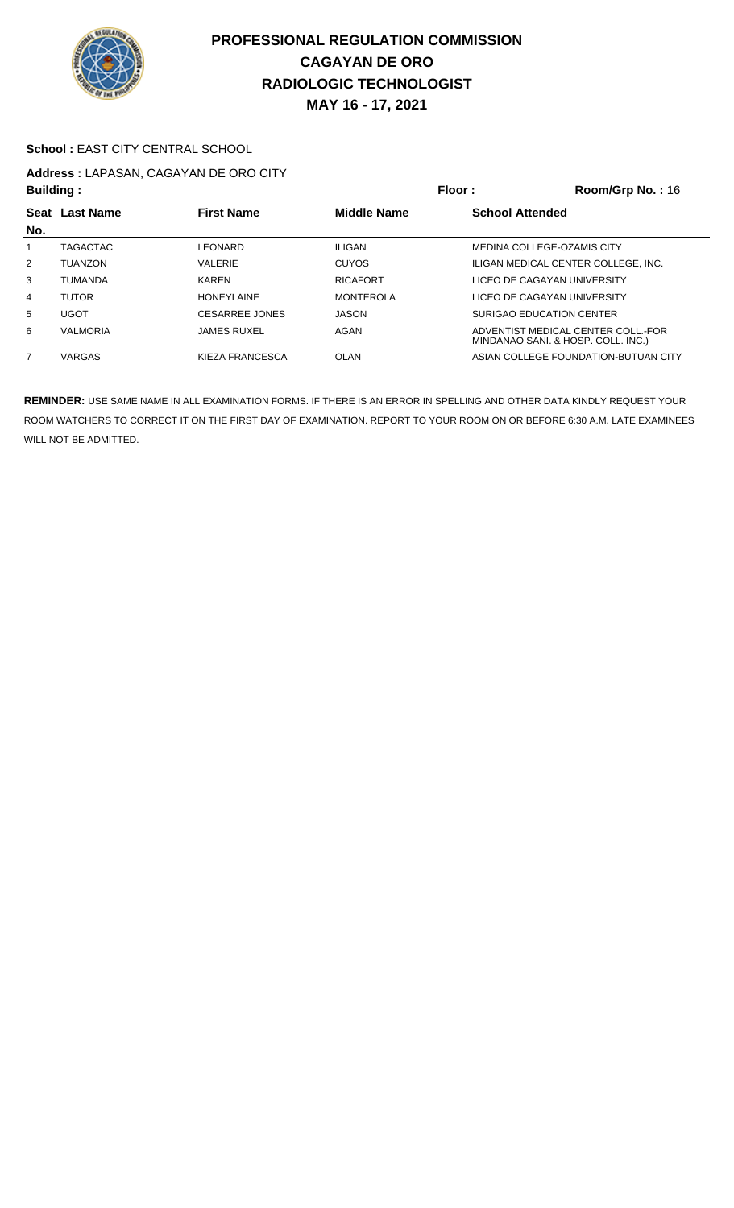

### School : EAST CITY CENTRAL SCHOOL

# **Address :** LAPASAN, CAGAYAN DE ORO CITY

| <b>Building:</b> |                 |                    |                    | Floor:                 | Room/Grp No.: 16                                                         |
|------------------|-----------------|--------------------|--------------------|------------------------|--------------------------------------------------------------------------|
|                  | Seat Last Name  | <b>First Name</b>  | <b>Middle Name</b> | <b>School Attended</b> |                                                                          |
| No.              |                 |                    |                    |                        |                                                                          |
|                  | <b>TAGACTAC</b> | LEONARD            | ILIGAN             |                        | MEDINA COLLEGE-OZAMIS CITY                                               |
| 2                | <b>TUANZON</b>  | VALERIE            | <b>CUYOS</b>       |                        | ILIGAN MEDICAL CENTER COLLEGE. INC.                                      |
| 3                | <b>TUMANDA</b>  | <b>KAREN</b>       | <b>RICAFORT</b>    |                        | LICEO DE CAGAYAN UNIVERSITY                                              |
| 4                | <b>TUTOR</b>    | <b>HONEYLAINE</b>  | <b>MONTEROLA</b>   |                        | LICEO DE CAGAYAN UNIVERSITY                                              |
| 5                | <b>UGOT</b>     | CESARREE JONES     | JASON              |                        | SURIGAO EDUCATION CENTER                                                 |
| 6                | <b>VALMORIA</b> | <b>JAMES RUXEL</b> | AGAN               |                        | ADVENTIST MEDICAL CENTER COLL. FOR<br>MINDANAO SANI. & HOSP. COLL. INC.) |
| $\overline{7}$   | <b>VARGAS</b>   | KIEZA FRANCESCA    | OLAN               |                        | ASIAN COLLEGE FOUNDATION-BUTUAN CITY                                     |